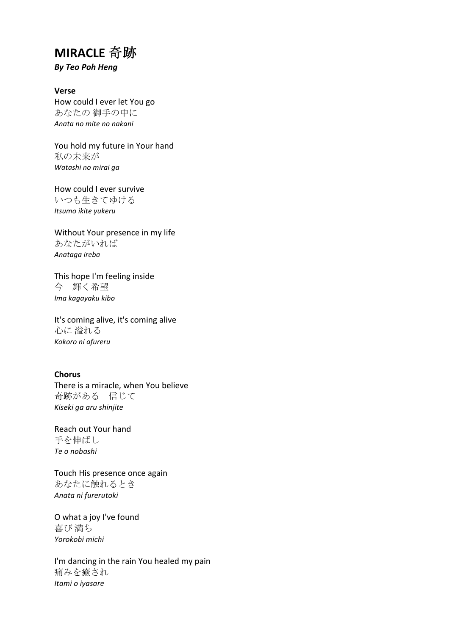## **MIRACLE** 奇跡

*By Teo Poh Heng*

**Verse** How could I ever let You go あなたの 御手の中に *Anata no mite no nakani*

You hold my future in Your hand 私の未来が *Watashi no mirai ga*

How could I ever survive いつも生きてゆける *Itsumo ikite yukeru*

Without Your presence in my life あなたがいれば *Anataga ireba*

This hope I'm feeling inside 今 輝く希望 *Ima kagayaku kibo*

It's coming alive, it's coming alive 心に 溢れる *Kokoro ni afureru*

## **Chorus**

There is a miracle, when You believe 奇跡がある 信じて *Kiseki ga aru shinjite*

Reach out Your hand 手を伸ばし *Te o nobashi*

Touch His presence once again あなたに触れるとき *Anata ni furerutoki*

O what a joy I've found 喜び 満ち *Yorokobi michi*

I'm dancing in the rain You healed my pain 痛みを癒され *Itami o iyasare*